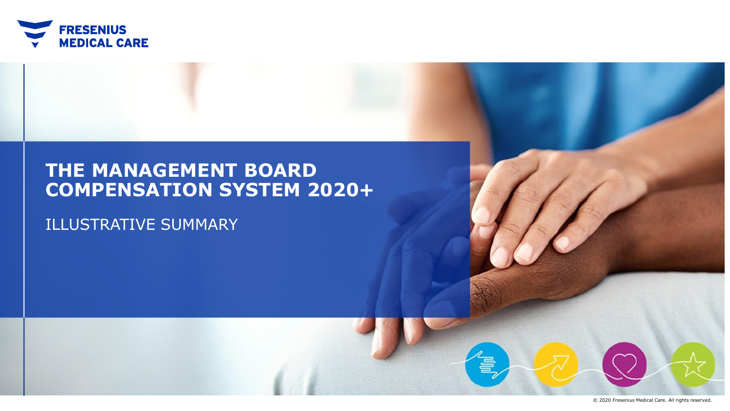

# **THE MANAGEMENT BOARD COMPENSATION SYSTEM 2020+**

# ILLUSTRATIVE SUMMARY

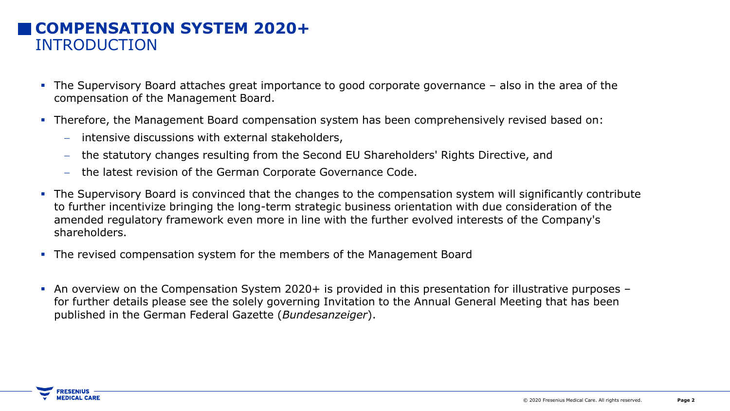# **COMPENSATION SYSTEM 2020+** INTRODUCTION

- The Supervisory Board attaches great importance to good corporate governance also in the area of the compensation of the Management Board.
- **Therefore, the Management Board compensation system has been comprehensively revised based on:** 
	- − intensive discussions with external stakeholders,
	- − the statutory changes resulting from the Second EU Shareholders' Rights Directive, and
	- − the latest revision of the German Corporate Governance Code.
- The Supervisory Board is convinced that the changes to the compensation system will significantly contribute to further incentivize bringing the long-term strategic business orientation with due consideration of the amended regulatory framework even more in line with the further evolved interests of the Company's shareholders.
- **The revised compensation system for the members of the Management Board**
- An overview on the Compensation System 2020+ is provided in this presentation for illustrative purposes for further details please see the solely governing Invitation to the Annual General Meeting that has been published in the German Federal Gazette (*Bundesanzeiger*).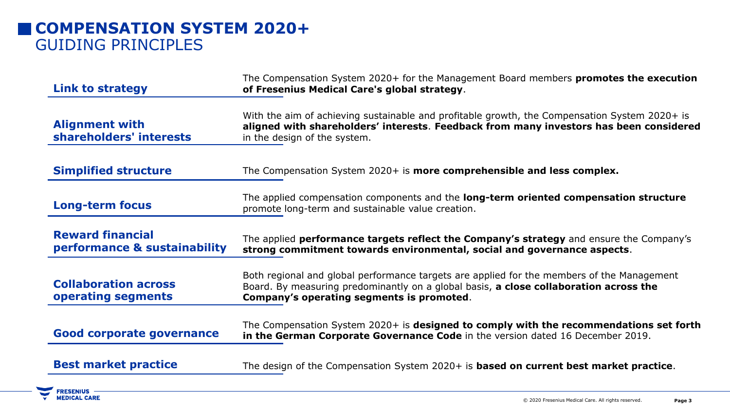# **COMPENSATION SYSTEM 2020+** GUIDING PRINCIPLES

**FRESENIUS —<br>MEDICAL CARE** 

| <b>Link to strategy</b>                                 | The Compensation System 2020+ for the Management Board members promotes the execution<br>of Fresenius Medical Care's global strategy.                                                                                            |
|---------------------------------------------------------|----------------------------------------------------------------------------------------------------------------------------------------------------------------------------------------------------------------------------------|
|                                                         |                                                                                                                                                                                                                                  |
| <b>Alignment with</b><br>shareholders' interests        | With the aim of achieving sustainable and profitable growth, the Compensation System 2020+ is<br>aligned with shareholders' interests. Feedback from many investors has been considered<br>in the design of the system.          |
| <b>Simplified structure</b>                             | The Compensation System 2020+ is more comprehensible and less complex.                                                                                                                                                           |
| <b>Long-term focus</b>                                  | The applied compensation components and the long-term oriented compensation structure<br>promote long-term and sustainable value creation.                                                                                       |
| <b>Reward financial</b><br>performance & sustainability | The applied <b>performance targets reflect the Company's strategy</b> and ensure the Company's<br>strong commitment towards environmental, social and governance aspects.                                                        |
| <b>Collaboration across</b><br>operating segments       | Both regional and global performance targets are applied for the members of the Management<br>Board. By measuring predominantly on a global basis, a close collaboration across the<br>Company's operating segments is promoted. |
| <b>Good corporate governance</b>                        | The Compensation System 2020+ is designed to comply with the recommendations set forth<br>in the German Corporate Governance Code in the version dated 16 December 2019.                                                         |
| <b>Best market practice</b>                             | The design of the Compensation System 2020+ is <b>based on current best market practice</b> .                                                                                                                                    |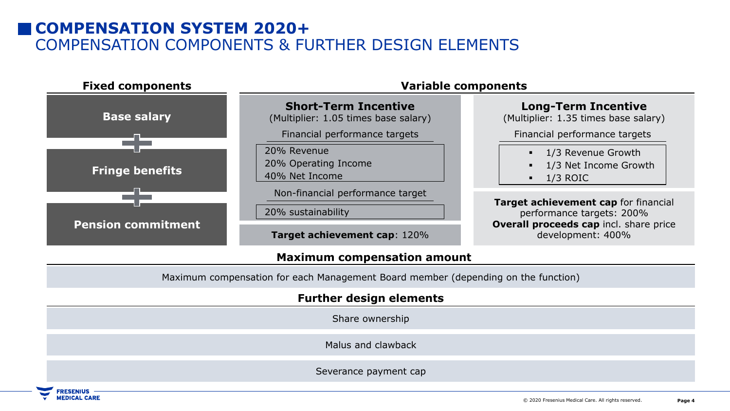# **COMPENSATION SYSTEM 2020+** COMPENSATION COMPONENTS & FURTHER DESIGN ELEMENTS



### **Maximum compensation amount**

Maximum compensation for each Management Board member (depending on the function)

### **Further design elements**

Share ownership

Malus and clawback

Severance payment cap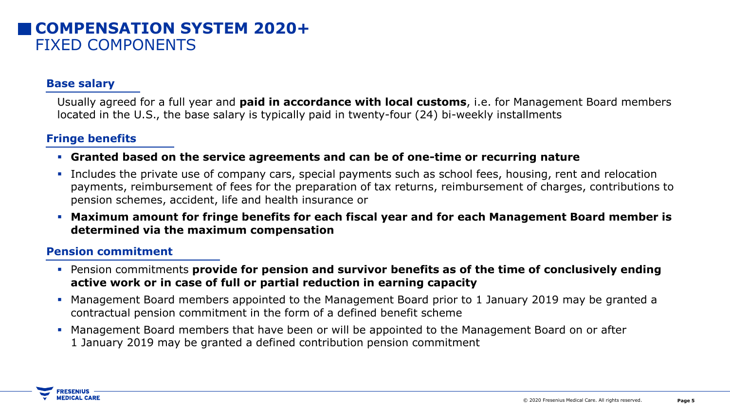## **COMPENSATION SYSTEM 2020+** FIXED COMPONENTS

### **Base salary**

Usually agreed for a full year and **paid in accordance with local customs**, i.e. for Management Board members located in the U.S., the base salary is typically paid in twenty-four (24) bi-weekly installments

### **Fringe benefits**

- **Granted based on the service agreements and can be of one-time or recurring nature**
- **·** Includes the private use of company cars, special payments such as school fees, housing, rent and relocation payments, reimbursement of fees for the preparation of tax returns, reimbursement of charges, contributions to pension schemes, accident, life and health insurance or
- **Maximum amount for fringe benefits for each fiscal year and for each Management Board member is determined via the maximum compensation**

#### **Pension commitment**

- Pension commitments **provide for pension and survivor benefits as of the time of conclusively ending active work or in case of full or partial reduction in earning capacity**
- Management Board members appointed to the Management Board prior to 1 January 2019 may be granted a contractual pension commitment in the form of a defined benefit scheme
- **Management Board members that have been or will be appointed to the Management Board on or after** 1 January 2019 may be granted a defined contribution pension commitment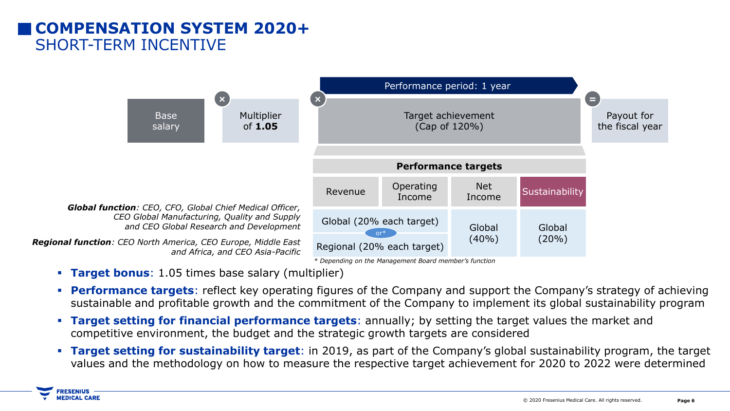# **COMPENSATION SYSTEM 2020+** SHORT-TERM INCENTIVE



▪ **Target bonus**: 1.05 times base salary (multiplier)

**RESENIUS MEDICAL CARE** 

- **Performance targets**: reflect key operating figures of the Company and support the Company's strategy of achieving sustainable and profitable growth and the commitment of the Company to implement its global sustainability program
- **Target setting for financial performance targets**: annually; by setting the target values the market and competitive environment, the budget and the strategic growth targets are considered
- **Target setting for sustainability target**: in 2019, as part of the Company's global sustainability program, the target values and the methodology on how to measure the respective target achievement for 2020 to 2022 were determined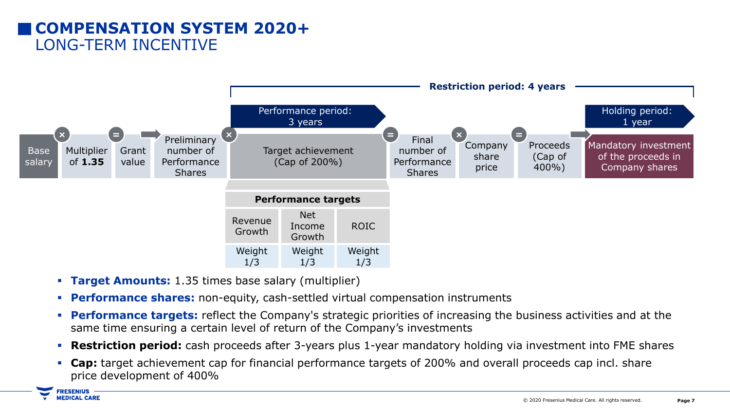# **COMPENSATION SYSTEM 2020+** LONG-TERM INCENTIVE



- **Target Amounts:** 1.35 times base salary (multiplier)
- **Performance shares:** non-equity, cash-settled virtual compensation instruments
- **Performance targets:** reflect the Company's strategic priorities of increasing the business activities and at the same time ensuring a certain level of return of the Company's investments
- **Restriction period:** cash proceeds after 3-years plus 1-year mandatory holding via investment into FME shares
- **Cap:** target achievement cap for financial performance targets of 200% and overall proceeds cap incl. share price development of 400%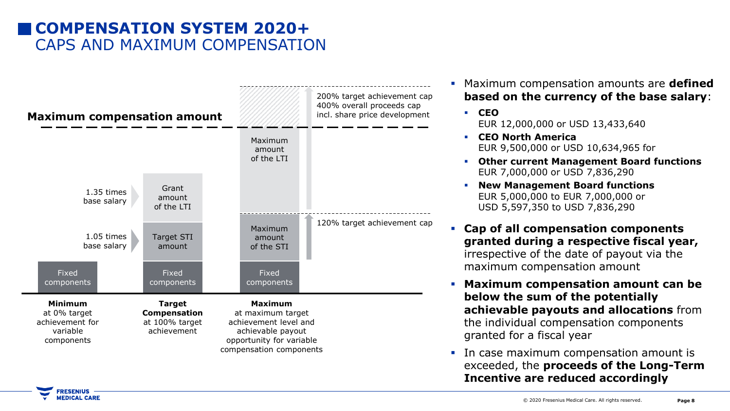# **COMPENSATION SYSTEM 2020+** CAPS AND MAXIMUM COMPENSATION



**Maximum compensation amounts are defined based on the currency of the base salary**:

▪ **CEO** EUR 12,000,000 or USD 13,433,640

- **CEO North America** EUR 9,500,000 or USD 10,634,965 for
- **Other current Management Board functions** EUR 7,000,000 or USD 7,836,290
- **New Management Board functions** EUR 5,000,000 to EUR 7,000,000 or USD 5,597,350 to USD 7,836,290
- **Cap of all compensation components granted during a respective fiscal year,**  irrespective of the date of payout via the maximum compensation amount
- **Maximum compensation amount can be below the sum of the potentially achievable payouts and allocations** from the individual compensation components granted for a fiscal year
- **•** In case maximum compensation amount is exceeded, the **proceeds of the Long-Term Incentive are reduced accordingly**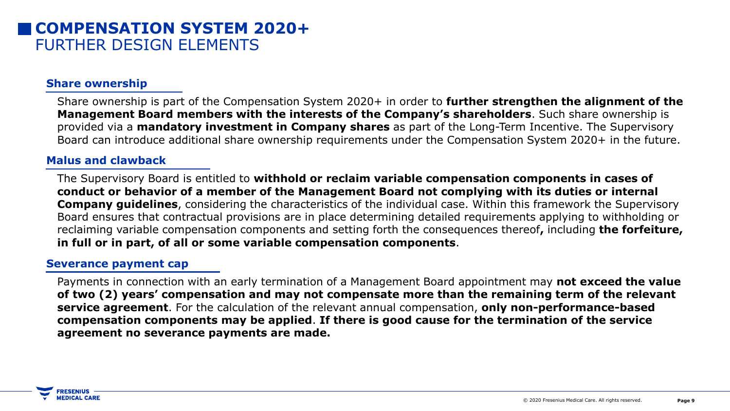### **COMPENSATION SYSTEM 2020+** FURTHER DESIGN ELEMENTS

### **Share ownership**

Share ownership is part of the Compensation System 2020+ in order to **further strengthen the alignment of the Management Board members with the interests of the Company's shareholders**. Such share ownership is provided via a **mandatory investment in Company shares** as part of the Long-Term Incentive. The Supervisory Board can introduce additional share ownership requirements under the Compensation System 2020+ in the future.

### **Malus and clawback**

The Supervisory Board is entitled to **withhold or reclaim variable compensation components in cases of conduct or behavior of a member of the Management Board not complying with its duties or internal Company guidelines**, considering the characteristics of the individual case. Within this framework the Supervisory Board ensures that contractual provisions are in place determining detailed requirements applying to withholding or reclaiming variable compensation components and setting forth the consequences thereof**,** including **the forfeiture, in full or in part, of all or some variable compensation components**.

### **Severance payment cap**

Payments in connection with an early termination of a Management Board appointment may **not exceed the value of two (2) years' compensation and may not compensate more than the remaining term of the relevant service agreement**. For the calculation of the relevant annual compensation, **only non-performance-based compensation components may be applied**. **If there is good cause for the termination of the service agreement no severance payments are made.**